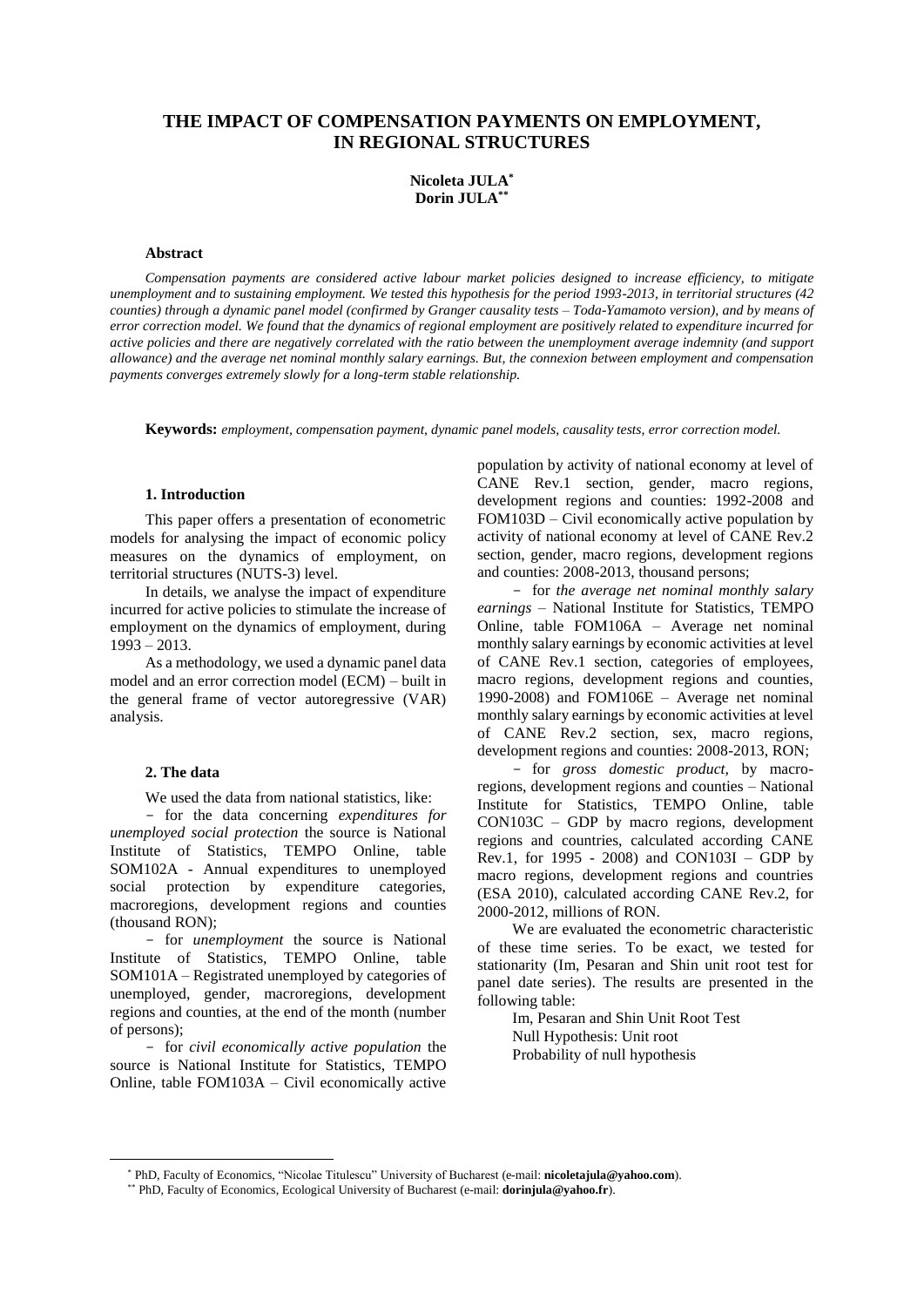# **THE IMPACT OF COMPENSATION PAYMENTS ON EMPLOYMENT, IN REGIONAL STRUCTURES**

## **Nicoleta JULA\* Dorin JULA\*\***

#### **Abstract**

*Compensation payments are considered active labour market policies designed to increase efficiency, to mitigate unemployment and to sustaining employment. We tested this hypothesis for the period 1993-2013, in territorial structures (42 counties) through a dynamic panel model (confirmed by Granger causality tests – Toda-Yamamoto version), and by means of error correction model. We found that the dynamics of regional employment are positively related to expenditure incurred for active policies and there are negatively correlated with the ratio between the unemployment average indemnity (and support allowance) and the average net nominal monthly salary earnings. But, the connexion between employment and compensation payments converges extremely slowly for a long-term stable relationship.*

**Keywords:** *employment, compensation payment, dynamic panel models, causality tests, error correction model.*

### **1. Introduction\***

This paper offers a presentation of econometric models for analysing the impact of economic policy measures on the dynamics of employment, on territorial structures (NUTS-3) level.

In details, we analyse the impact of expenditure incurred for active policies to stimulate the increase of employment on the dynamics of employment, during 1993 – 2013.

As a methodology, we used a dynamic panel data model and an error correction model (ECM) – built in the general frame of vector autoregressive (VAR) analysis.

### **2. The data**

 $\overline{a}$ 

We used the data from national statistics, like:

 for the data concerning *expenditures for unemployed social protection* the source is National Institute of Statistics, TEMPO Online, table SOM102A - Annual expenditures to unemployed social protection by expenditure categories, macroregions, development regions and counties (thousand RON);

 for *unemployment* the source is National Institute of Statistics, TEMPO Online, table SOM101A – Registrated unemployed by categories of unemployed, gender, macroregions, development regions and counties, at the end of the month (number of persons);

 for *civil economically active population* the source is National Institute for Statistics, TEMPO Online, table FOM103A – Civil economically active

population by activity of national economy at level of CANE Rev.1 section, gender, macro regions, development regions and counties: 1992-2008 and FOM103D – Civil economically active population by activity of national economy at level of CANE Rev.2 section, gender, macro regions, development regions and counties: 2008-2013, thousand persons;

 for *the average net nominal monthly salary earnings* – National Institute for Statistics, TEMPO Online, table FOM106A – Average net nominal monthly salary earnings by economic activities at level of CANE Rev.1 section, categories of employees, macro regions, development regions and counties, 1990-2008) and FOM106E – Average net nominal monthly salary earnings by economic activities at level of CANE Rev.2 section, sex, macro regions, development regions and counties: 2008-2013, RON;

 for *gross domestic product*, by macroregions, development regions and counties – National Institute for Statistics, TEMPO Online, table CON103C – GDP by macro regions, development regions and countries, calculated according CANE Rev.1, for 1995 - 2008) and CON103I – GDP by macro regions, development regions and countries (ESA 2010), calculated according CANE Rev.2, for 2000-2012, millions of RON.

We are evaluated the econometric characteristic of these time series. To be exact, we tested for stationarity (Im, Pesaran and Shin unit root test for panel date series). The results are presented in the following table:

> Im, Pesaran and Shin Unit Root Test Null Hypothesis: Unit root Probability of null hypothesis

<sup>\*</sup> PhD, Faculty of Economics, "Nicolae Titulescu" University of Bucharest (e-mail: **nicoletajula@yahoo.com**).

<sup>\*\*</sup> PhD, Faculty of Economics, Ecological University of Bucharest (e-mail: **dorinjula@yahoo.fr**).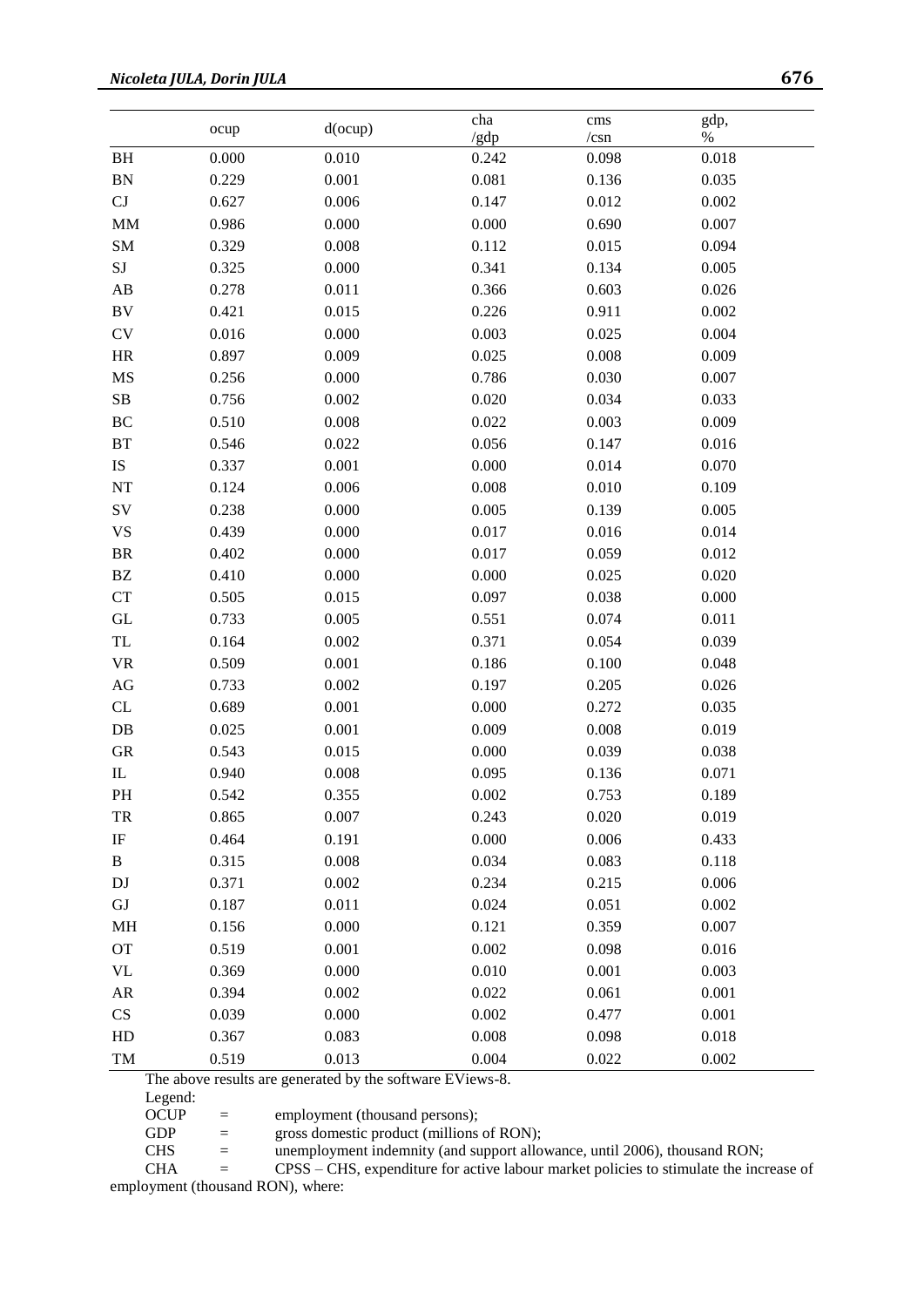|                                                  |       |         | cha   | $\mathrm{cm}\mathrm{s}$ | gdp,  |
|--------------------------------------------------|-------|---------|-------|-------------------------|-------|
|                                                  | ocup  | d(ocup) | /gdp  | /csn                    | $\%$  |
| BH                                               | 0.000 | 0.010   | 0.242 | 0.098                   | 0.018 |
| ${\rm BN}$                                       | 0.229 | 0.001   | 0.081 | 0.136                   | 0.035 |
| $\operatorname{CJ}$                              | 0.627 | 0.006   | 0.147 | 0.012                   | 0.002 |
| <b>MM</b>                                        | 0.986 | 0.000   | 0.000 | 0.690                   | 0.007 |
| SM                                               | 0.329 | 0.008   | 0.112 | 0.015                   | 0.094 |
| $\rm{SJ}$                                        | 0.325 | 0.000   | 0.341 | 0.134                   | 0.005 |
| $\mathbf{A}\mathbf{B}$                           | 0.278 | 0.011   | 0.366 | 0.603                   | 0.026 |
| $\rm BV$                                         | 0.421 | 0.015   | 0.226 | 0.911                   | 0.002 |
| ${\rm CV}$                                       | 0.016 | 0.000   | 0.003 | 0.025                   | 0.004 |
| $\rm{HR}$                                        | 0.897 | 0.009   | 0.025 | 0.008                   | 0.009 |
| $\mathbf{M}\mathbf{S}$                           | 0.256 | 0.000   | 0.786 | 0.030                   | 0.007 |
| ${\bf SB}$                                       | 0.756 | 0.002   | 0.020 | 0.034                   | 0.033 |
| $\rm BC$                                         | 0.510 | 0.008   | 0.022 | 0.003                   | 0.009 |
| BT                                               | 0.546 | 0.022   | 0.056 | 0.147                   | 0.016 |
| IS                                               | 0.337 | 0.001   | 0.000 | 0.014                   | 0.070 |
| $\rm{NT}$                                        | 0.124 | 0.006   | 0.008 | 0.010                   | 0.109 |
| SV                                               | 0.238 | 0.000   | 0.005 | 0.139                   | 0.005 |
| <b>VS</b>                                        | 0.439 | 0.000   | 0.017 | 0.016                   | 0.014 |
| <b>BR</b>                                        | 0.402 | 0.000   | 0.017 | 0.059                   | 0.012 |
| $\mathbf{B}\mathbf{Z}$                           | 0.410 | 0.000   | 0.000 | 0.025                   | 0.020 |
| CT                                               | 0.505 | 0.015   | 0.097 | 0.038                   | 0.000 |
| $\operatorname{GL}$                              | 0.733 | 0.005   | 0.551 | 0.074                   | 0.011 |
| $\ensuremath{\mathsf{T}}\ensuremath{\mathsf{L}}$ | 0.164 | 0.002   | 0.371 | 0.054                   | 0.039 |
| $\ensuremath{\text{VR}}\xspace$                  | 0.509 | 0.001   | 0.186 | 0.100                   | 0.048 |
| $\rm{AG}$                                        | 0.733 | 0.002   | 0.197 | 0.205                   | 0.026 |
| CL                                               | 0.689 | 0.001   | 0.000 | 0.272                   | 0.035 |
| $DB$                                             | 0.025 | 0.001   | 0.009 | 0.008                   | 0.019 |
| ${\rm GR}$                                       | 0.543 | 0.015   | 0.000 | 0.039                   | 0.038 |
| $\mathbf{I}$                                     | 0.940 | 0.008   | 0.095 | 0.136                   | 0.071 |
| <b>PH</b>                                        | 0.542 | 0.355   | 0.002 | 0.753                   | 0.189 |
| TR                                               | 0.865 | 0.007   | 0.243 | 0.020                   | 0.019 |
| IF                                               | 0.464 | 0.191   | 0.000 | 0.006                   | 0.433 |
| B                                                | 0.315 | 0.008   | 0.034 | 0.083                   | 0.118 |
| DJ                                               | 0.371 | 0.002   | 0.234 | 0.215                   | 0.006 |
| GJ                                               | 0.187 | 0.011   | 0.024 | 0.051                   | 0.002 |
| MH                                               | 0.156 | 0.000   | 0.121 | 0.359                   | 0.007 |
| <b>OT</b>                                        | 0.519 | 0.001   | 0.002 | 0.098                   | 0.016 |
| $\ensuremath{\text{VL}}\xspace$                  | 0.369 | 0.000   | 0.010 | 0.001                   | 0.003 |
| ${\sf AR}$                                       | 0.394 | 0.002   | 0.022 | 0.061                   | 0.001 |
| CS                                               | 0.039 | 0.000   | 0.002 | 0.477                   | 0.001 |
| HD                                               | 0.367 | 0.083   | 0.008 | 0.098                   | 0.018 |
| TM                                               | 0.519 | 0.013   | 0.004 | 0.022                   | 0.002 |

The above results are generated by the software EViews-8.

Legend:

OCUP = employment (thousand persons);<br>GDP = gross domestic product (millions

 $=$  gross domestic product (millions of RON);

CHS = unemployment indemnity (and support allowance, until 2006), thousand RON;<br>CHA = CPSS – CHS, expenditure for active labour market policies to stimulate the inci

= CPSS – CHS, expenditure for active labour market policies to stimulate the increase of employment (thousand RON), where: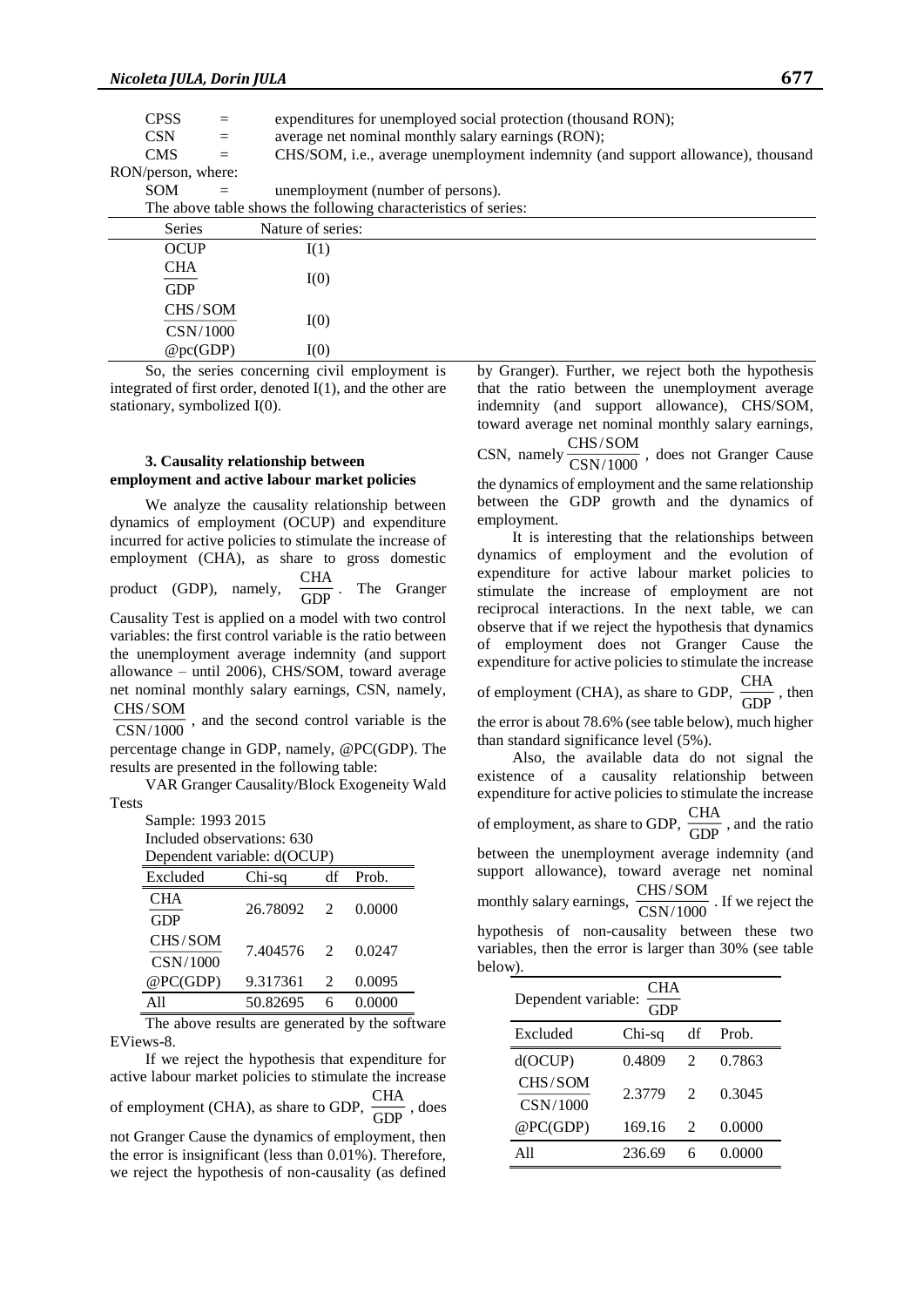| <b>CPSS</b>        |     | expenditures for unemployed social protection (thousand RON);                   |
|--------------------|-----|---------------------------------------------------------------------------------|
| <b>CSN</b>         | $=$ | average net nominal monthly salary earnings (RON);                              |
| <b>CMS</b>         | $=$ | CHS/SOM, i.e., average unemployment indemnity (and support allowance), thousand |
| RON/person, where: |     |                                                                                 |
| <b>SOM</b>         | $=$ | unemployment (number of persons).                                               |
|                    |     | The above table shows the following characteristics of series:                  |
| <b>Series</b>      |     | Nature of series:                                                               |
| <b>OCUP</b>        |     | I(1)                                                                            |
| <b>CHA</b>         |     |                                                                                 |
| <b>GDP</b>         |     | I(0)                                                                            |
| CHS/SOM            |     |                                                                                 |
| CSN/1000           |     | I(0)                                                                            |
| @pc(GDP)           |     | I(0)                                                                            |

So, the series concerning civil employment is integrated of first order, denoted I(1), and the other are stationary, symbolized I(0).

### **3. Causality relationship between employment and active labour market policies**

We analyze the causality relationship between dynamics of employment (OCUP) and expenditure incurred for active policies to stimulate the increase of employment (CHA), as share to gross domestic product (GDP), namely,  $\frac{1}{\text{GDP}}$ . The Granger CHA

Causality Test is applied on a model with two control variables: the first control variable is the ratio between the unemployment average indemnity (and support allowance – until 2006), CHS/SOM, toward average net nominal monthly salary earnings, CSN, namely, CHS/SOM

and the second control variable is the CSN/1000

percentage change in GDP, namely, @PC(GDP). The results are presented in the following table:

VAR Granger Causality/Block Exogeneity Wald Tests

Sample: 1993 2015

Included observations: 630

| Dependent variable: d(OCUP) |  |  |
|-----------------------------|--|--|
|-----------------------------|--|--|

| $P^{\text{per}}$         |            |                             |        |  |  |  |
|--------------------------|------------|-----------------------------|--------|--|--|--|
| Excluded                 | Chi-sq     | df                          | Prob.  |  |  |  |
| <b>CHA</b><br><b>GDP</b> | 26.78092 2 |                             | 0.0000 |  |  |  |
| CHS/SOM                  | 7.404576 2 |                             | 0.0247 |  |  |  |
| CSN/1000<br>@PC(GDP)     | 9.317361   | $\mathcal{D}_{\mathcal{L}}$ | 0.0095 |  |  |  |
| $\Delta$ 11              | 50.82695   |                             | 0.0000 |  |  |  |

The above results are generated by the software EViews-8.

If we reject the hypothesis that expenditure for active labour market policies to stimulate the increase of employment (CHA), as share to GDP,  $\frac{1}{GDP}$ , does not Granger Cause the dynamics of employment, then the error is insignificant (less than 0.01%). Therefore, we reject the hypothesis of non-causality (as defined CHA

by Granger). Further, we reject both the hypothesis that the ratio between the unemployment average indemnity (and support allowance), CHS/SOM, toward average net nominal monthly salary earnings, CHS/SOM

CSN, namely  $\frac{C120760 \text{ cm}}{\text{CSN}/1000}$ , does not Granger Cause the dynamics of employment and the same relationship between the GDP growth and the dynamics of employment.

It is interesting that the relationships between dynamics of employment and the evolution of expenditure for active labour market policies to stimulate the increase of employment are not reciprocal interactions. In the next table, we can observe that if we reject the hypothesis that dynamics of employment does not Granger Cause the expenditure for active policies to stimulate the increase

of employment (CHA), as share to GDP,  $\frac{GAT}{GDP}$ , then **CHA** 

the error is about 78.6% (see table below), much higher than standard significance level (5%).

Also, the available data do not signal the existence of a causality relationship between expenditure for active policies to stimulate the increase of employment, as share to GDP,  $\frac{\text{cm}}{\text{GDP}}$ , and the ratio between the unemployment average indemnity (and support allowance), toward average net nominal monthly salary earnings,  $\frac{1000 \text{ S/m}}{1000}$ . If we reject the hypothesis of non-causality between these two variables, then the error is larger than 30% (see table below). CHA CHS/SOM

| CHA<br>Dependent variable: |        |                             |        |  |  |  |
|----------------------------|--------|-----------------------------|--------|--|--|--|
| Excluded                   | Chi-sq | df                          | Prob.  |  |  |  |
| d(OCUP)                    | 0.4809 | $\mathcal{D}_{\mathcal{L}}$ | 0.7863 |  |  |  |
| CHS/SOM<br>CSN/1000        | 2.3779 | $\mathcal{D}_{\mathcal{L}}$ | 0.3045 |  |  |  |
| @PC(GDP)                   | 169.16 | $\mathcal{L}$               | 0.0000 |  |  |  |
| $\Delta$ 11                | 236.69 |                             | 0.0000 |  |  |  |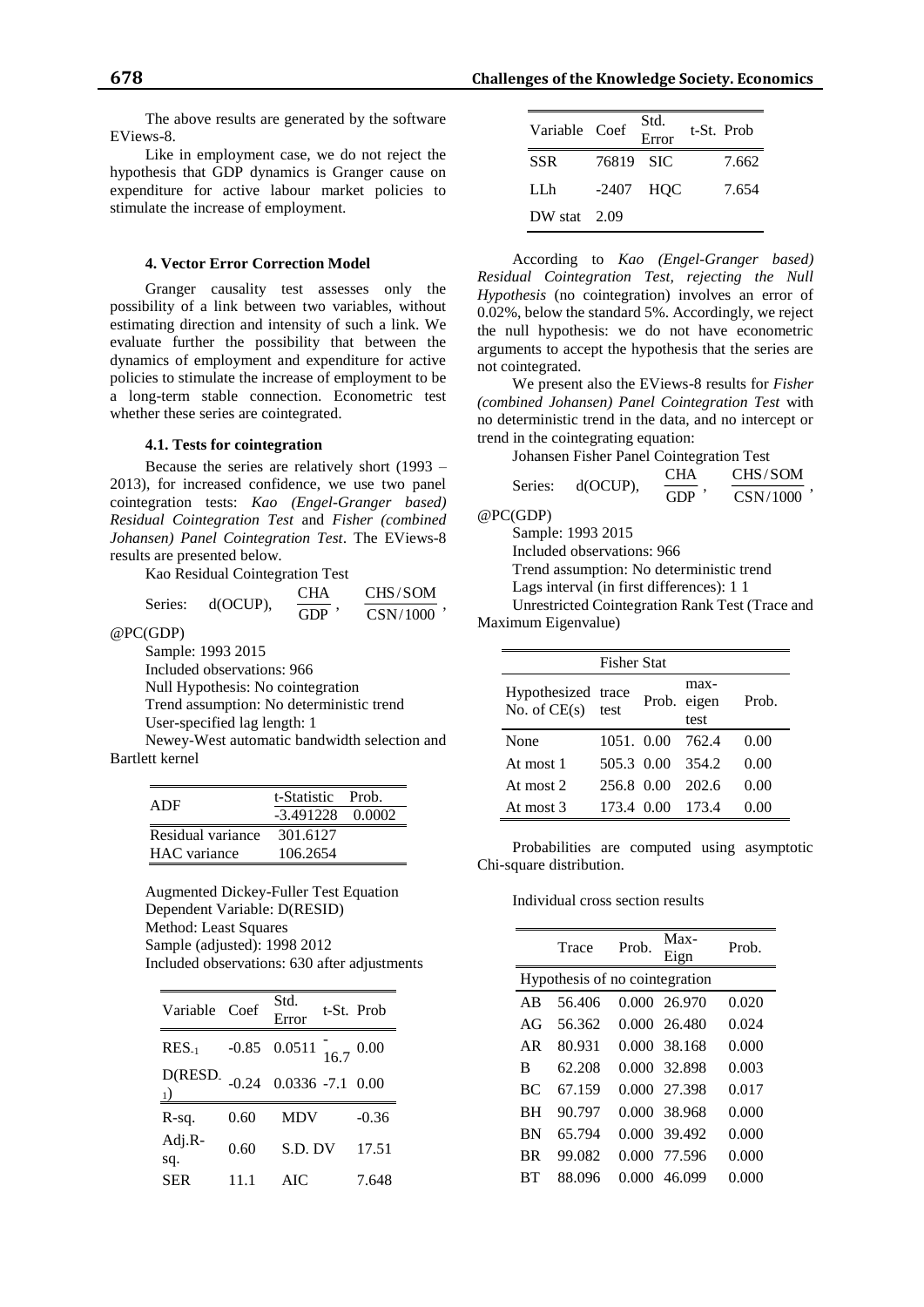The above results are generated by the software EViews-8.

Like in employment case, we do not reject the hypothesis that GDP dynamics is Granger cause on expenditure for active labour market policies to stimulate the increase of employment.

### **4. Vector Error Correction Model**

Granger causality test assesses only the possibility of a link between two variables, without estimating direction and intensity of such a link. We evaluate further the possibility that between the dynamics of employment and expenditure for active policies to stimulate the increase of employment to be a long-term stable connection. Econometric test whether these series are cointegrated.

#### **4.1. Tests for cointegration**

Because the series are relatively short (1993 – 2013), for increased confidence, we use two panel cointegration tests: *Kao (Engel-Granger based) Residual Cointegration Test* and *Fisher (combined Johansen) Panel Cointegration Test*. The EViews-8 results are presented below.

Kao Residual Cointegration Test

| Series: | $d(OCUP)$ , | <b>CHA</b> | CHS/SOM  |
|---------|-------------|------------|----------|
|         |             | <b>GDP</b> | CSN/1000 |

@PC(GDP)

Sample: 1993 2015 Included observations: 966 Null Hypothesis: No cointegration Trend assumption: No deterministic trend User-specified lag length: 1

Newey-West automatic bandwidth selection and Bartlett kernel

| ADF                 | $-3.491228$ 0.0002 |  |
|---------------------|--------------------|--|
|                     |                    |  |
| Residual variance   | 301.6127           |  |
| <b>HAC</b> variance | 106.2654           |  |

Augmented Dickey-Fuller Test Equation Dependent Variable: D(RESID) Method: Least Squares Sample (adjusted): 1998 2012 Included observations: 630 after adjustments

| Variable Coef |         | Std.<br>Error              | t-St. Prob |
|---------------|---------|----------------------------|------------|
| $RES_{-1}$    |         | $-0.85$ 0.0511 $16.7$ 0.00 |            |
| D(RESD)       | $-0.24$ | $0.0336 - 7.1$             | 0.00       |
| R-sq.         | 0.60    | <b>MDV</b>                 | $-0.36$    |
| Adj.R-<br>sq. | 0.60    | S.D. DV                    | 17.51      |
| <b>SER</b>    | 11.1    | AIC                        | 7.648      |

| Variable Coef  |           | Std.<br>Error | t-St. Prob |
|----------------|-----------|---------------|------------|
| <b>SSR</b>     | 76819 SIC |               | 7.662      |
| LL h           |           | $-2407$ HOC   | 7.654      |
| DW stat $2.09$ |           |               |            |

According to *Kao (Engel-Granger based) Residual Cointegration Test, rejecting the Null Hypothesis* (no cointegration) involves an error of 0.02%, below the standard 5%. Accordingly, we reject the null hypothesis: we do not have econometric arguments to accept the hypothesis that the series are not cointegrated.

We present also the EViews-8 results for *Fisher (combined Johansen) Panel Cointegration Test* with no deterministic trend in the data, and no intercept or trend in the cointegrating equation:

Johansen Fisher Panel Cointegration Test

| Series: |             | <b>CHA</b> | CHS/SOM  |
|---------|-------------|------------|----------|
|         | $d(OCUP)$ , | GDP        | CSN/1000 |

@PC(GDP)

Sample: 1993 2015 Included observations: 966

Trend assumption: No deterministic trend

Lags interval (in first differences): 1 1

Unrestricted Cointegration Rank Test (Trace and Maximum Eigenvalue)

|                                      | <b>Fisher Stat</b> |       |                       |       |
|--------------------------------------|--------------------|-------|-----------------------|-------|
| Hypothesized trace<br>No. of $CE(s)$ | test               | Prob. | max-<br>eigen<br>test | Prob. |
| None                                 | 1051. 0.00         |       | 762.4                 | 0.00  |
| At most 1                            | 505.3 0.00         |       | 354.2                 | 0.00  |
| At most 2                            | 256.8 0.00         |       | 202.6                 | 0.00  |
| At most 3                            | 173.4 0.00         |       | 173.4                 | 0.00  |

Probabilities are computed using asymptotic Chi-square distribution.

Individual cross section results

|                                | Trace  | Prob. | $Max-$<br>Eign | Prob. |
|--------------------------------|--------|-------|----------------|-------|
| Hypothesis of no cointegration |        |       |                |       |
| AB                             | 56.406 |       | 0.000 26.970   | 0.020 |
| AG                             | 56.362 |       | 0.000 26.480   | 0.024 |
| AR                             | 80.931 |       | 0.000 38.168   | 0.000 |
| B                              | 62.208 |       | 0.000 32.898   | 0.003 |
| <b>BC</b>                      | 67.159 |       | 0.000 27.398   | 0.017 |
| <b>BH</b>                      | 90.797 |       | 0.000 38.968   | 0.000 |
| <b>BN</b>                      | 65.794 |       | 0.000 39.492   | 0.000 |
| <b>BR</b>                      | 99.082 | 0.000 | 77.596         | 0.000 |
| RТ                             | 88.096 |       | 46.099         | 0.000 |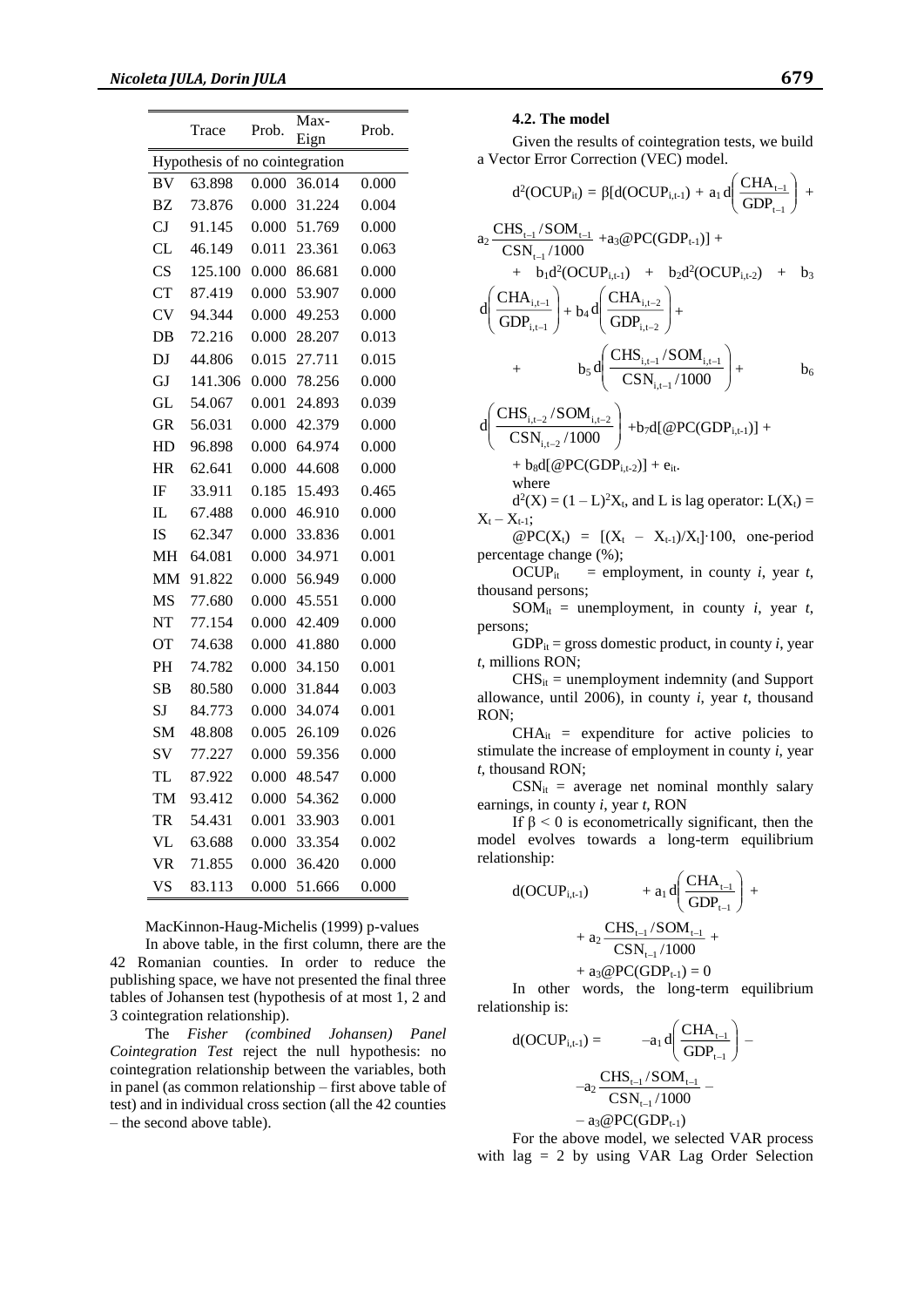|                        | Trace                          | Prob. | Max-<br>Eign | Prob. |
|------------------------|--------------------------------|-------|--------------|-------|
|                        | Hypothesis of no cointegration |       |              |       |
| <b>BV</b>              | 63.898                         | 0.000 | 36.014       | 0.000 |
| <b>BZ</b>              | 73.876                         | 0.000 | 31.224       | 0.004 |
| CJ                     | 91.145                         | 0.000 | 51.769       | 0.000 |
| CL                     | 46.149                         | 0.011 | 23.361       | 0.063 |
| $\overline{\text{CS}}$ | 125.100                        | 0.000 | 86.681       | 0.000 |
| <b>CT</b>              | 87.419                         | 0.000 | 53.907       | 0.000 |
| <b>CV</b>              | 94.344                         | 0.000 | 49.253       | 0.000 |
| DB                     | 72.216                         | 0.000 | 28.207       | 0.013 |
| DJ                     | 44.806                         | 0.015 | 27.711       | 0.015 |
| GJ                     | 141.306                        | 0.000 | 78.256       | 0.000 |
| GL                     | 54.067                         | 0.001 | 24.893       | 0.039 |
| <b>GR</b>              | 56.031                         | 0.000 | 42.379       | 0.000 |
| HD                     | 96.898                         | 0.000 | 64.974       | 0.000 |
| HR                     | 62.641                         | 0.000 | 44.608       | 0.000 |
| IF                     | 33.911                         | 0.185 | 15.493       | 0.465 |
| IL.                    | 67.488                         | 0.000 | 46.910       | 0.000 |
| <b>IS</b>              | 62.347                         | 0.000 | 33.836       | 0.001 |
| MH                     | 64.081                         | 0.000 | 34.971       | 0.001 |
| <b>MM</b>              | 91.822                         | 0.000 | 56.949       | 0.000 |
| MS                     | 77.680                         | 0.000 | 45.551       | 0.000 |
| <b>NT</b>              | 77.154                         | 0.000 | 42.409       | 0.000 |
| OТ                     | 74.638                         | 0.000 | 41.880       | 0.000 |
| PH                     | 74.782                         | 0.000 | 34.150       | 0.001 |
| SB                     | 80.580                         | 0.000 | 31.844       | 0.003 |
| <b>SJ</b>              | 84.773                         | 0.000 | 34.074       | 0.001 |
| <b>SM</b>              | 48.808                         | 0.005 | 26.109       | 0.026 |
| SV                     | 77.227                         | 0.000 | 59.356       | 0.000 |
| <b>TL</b>              | 87.922                         | 0.000 | 48.547       | 0.000 |
| TM                     | 93.412                         | 0.000 | 54.362       | 0.000 |
| TR                     | 54.431                         | 0.001 | 33.903       | 0.001 |
| VL                     | 63.688                         | 0.000 | 33.354       | 0.002 |
| <b>VR</b>              | 71.855                         | 0.000 | 36.420       | 0.000 |
| VS                     | 83.113                         | 0.000 | 51.666       | 0.000 |

MacKinnon-Haug-Michelis (1999) p-values

In above table, in the first column, there are the 42 Romanian counties. In order to reduce the publishing space, we have not presented the final three tables of Johansen test (hypothesis of at most 1, 2 and 3 cointegration relationship).

The *Fisher (combined Johansen) Panel Cointegration Test* reject the null hypothesis: no cointegration relationship between the variables, both in panel (as common relationship – first above table of test) and in individual cross section (all the 42 counties – the second above table).

#### **4.2. The model**

Given the results of cointegration tests, we build a Vector Error Correction (VEC) model.

$$
d^{2}(OCUP_{ii}) = \beta[d(OCUP_{i,t-1}) + a_{1}d\left(\frac{CHA_{t-1}}{GDP_{t-1}}\right) +a_{2}\frac{CHS_{t-1}/SOM_{t-1}}{CSN_{t-1}/1000} + a_{3}\omega PC(GDP_{t-1})] +b_{1}d^{2}(OCUP_{i,t-1}) + b_{2}d^{2}(OCUP_{i,t-2}) + b_{3}d\left(\frac{CHA_{i,t-1}}{GDP_{i,t-1}}\right) + b_{4}d\left(\frac{CHA_{i,t-2}}{GDP_{i,t-2}}\right) ++ b_{5}d\left(\frac{CHS_{i,t-1}/SOM_{i,t-1}}{CSN_{i,t-1}/1000}\right) + b_{6}d\left(\frac{CHS_{i,t-2}/SOM_{i,t-2}}{CSN_{i,t-2}/1000}\right) + b_{7}d[\omega PC(GDP_{i,t-1})] +
$$

+  $b_8d[@PC(GDP_{i,t-2})]+e_{it}.$ 

where  $d^2(X) = (1 - L)^2 X_t$ , and L is lag operator:  $L(X_t) =$  $X_t - X_{t-1};$ 

 $@PC(X_t) = [(X_t - X_{t-1})/X_t] \cdot 100,$  one-period percentage change (%);

OCUP<sub>it</sub> = employment, in county *i*, year *t*, thousand persons;

 $SOM_{it}$  = unemployment, in county *i*, year *t*, persons;

GDP<sub>it</sub> = gross domestic product, in county *i*, year *t*, millions RON;

 $CHS<sub>it</sub>$  = unemployment indemnity (and Support allowance, until 2006), in county *i*, year *t*, thousand RON;

 $CHA_{it}$  = expenditure for active policies to stimulate the increase of employment in county *i*, year *t*, thousand RON;

 $CSN_{it}$  = average net nominal monthly salary earnings, in county *i*, year *t*, RON

If  $β < 0$  is econometrically significant, then the model evolves towards a long-term equilibrium relationship:

$$
d(OCUP_{i,t-1}) + a_1 d \left( \frac{CHA_{t-1}}{GDP_{t-1}} \right) + a_2 \frac{CHS_{t-1}/SOM_{t-1}}{CSN_{t-1}/1000} +
$$

$$
+ a_3@PC(GDP_{t-1}) = 0
$$

In other words, the long-term equilibrium relationship is:

$$
d(OCUP_{i,t-1}) = -a_1 d \left( \frac{CHA_{t-1}}{GDP_{t-1}} \right) - a_2 \frac{CHS_{t-1}/SOM_{t-1}}{CSN_{t-1}/1000} - a_3 @PC(GDP_{t-1})
$$

For the above model, we selected VAR process with lag = 2 by using VAR Lag Order Selection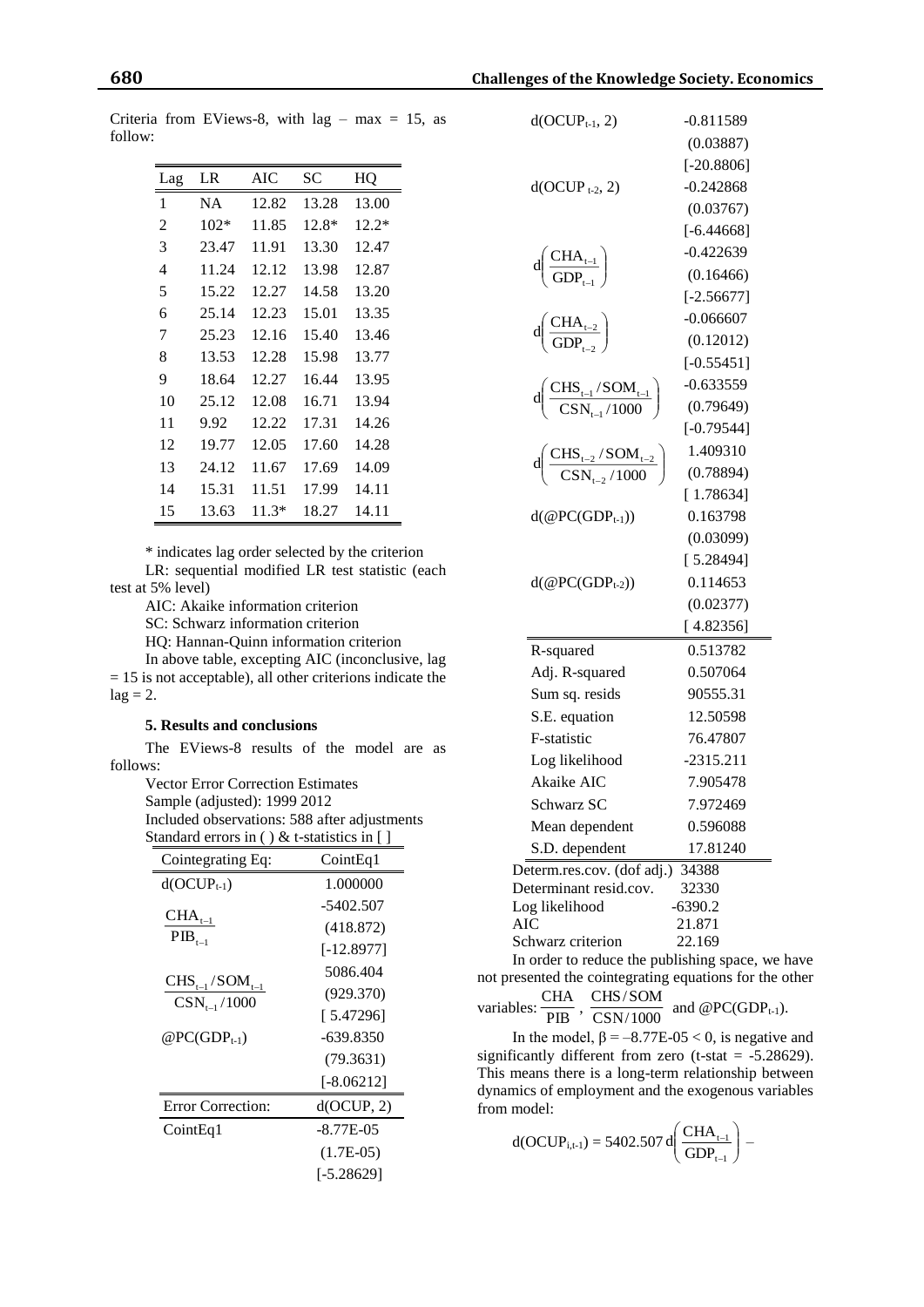| Lag | LR     | AIC   | <b>SC</b> | HQ      |
|-----|--------|-------|-----------|---------|
| 1   | NA     | 12.82 | 13.28     | 13.00   |
| 2   | $102*$ | 11.85 | 12.8*     | $12.2*$ |
| 3   | 23.47  | 11.91 | 13.30     | 12.47   |
| 4   | 11.24  | 12.12 | 13.98     | 12.87   |
| 5   | 15.22  | 12.27 | 14.58     | 13.20   |
| 6   | 25.14  | 12.23 | 15.01     | 13.35   |
| 7   | 25.23  | 12.16 | 15.40     | 13.46   |
| 8   | 13.53  | 12.28 | 15.98     | 13.77   |
| 9   | 18.64  | 12.27 | 16.44     | 13.95   |
| 10  | 25.12  | 12.08 | 16.71     | 13.94   |
| 11  | 9.92   | 12.22 | 17.31     | 14.26   |
| 12  | 19.77  | 12.05 | 17.60     | 14.28   |
| 13  | 24.12  | 11.67 | 17.69     | 14.09   |
| 14  | 15.31  | 11.51 | 17.99     | 14.11   |
| 15  | 13.63  | 11.3* | 18.27     | 14.11   |

Criteria from EViews-8, with lag – max = 15, as follow:

\* indicates lag order selected by the criterion LR: sequential modified LR test statistic (each test at 5% level)

AIC: Akaike information criterion

SC: Schwarz information criterion

HQ: Hannan-Quinn information criterion

In above table, excepting AIC (inconclusive, lag  $= 15$  is not acceptable), all other criterions indicate the  $lag = 2$ .

#### **5. Results and conclusions**

The EViews-8 results of the model are as follows:

> Vector Error Correction Estimates Sample (adjusted): 1999 2012

Included observations: 588 after adjustments Standard errors in ( ) & t-statistics in [ ]

| Cointegrating Eq:                         | CointEq1     |  |
|-------------------------------------------|--------------|--|
| $d(OCUP_{t-1})$                           | 1.000000     |  |
| $CHA_{t-1}$                               | -5402.507    |  |
| $\rm{PIB}_{t-1}$                          | (418.872)    |  |
|                                           | $[-12.8977]$ |  |
|                                           | 5086.404     |  |
| $CHS_{t-1}/SOM_{t-1}$<br>$CSN_{t-1}/1000$ | (929.370)    |  |
|                                           | [5.47296]    |  |
| $@PC(GDP_{t-1})$                          | $-639.8350$  |  |
|                                           | (79.3631)    |  |
|                                           | $[-8.06212]$ |  |
| <b>Error Correction:</b>                  | d(OCUP, 2)   |  |
| CointEq1                                  | $-8.77E-0.5$ |  |
|                                           | $(1.7E-05)$  |  |
|                                           | [-5.28629]   |  |

| $d(OCUP_{t-1}, 2)$                                                               | $-0.811589$         |  |  |  |
|----------------------------------------------------------------------------------|---------------------|--|--|--|
|                                                                                  | (0.03887)           |  |  |  |
|                                                                                  | $[-20.8806]$        |  |  |  |
| $d(OCUP_{t-2}, 2)$                                                               | $-0.242868$         |  |  |  |
|                                                                                  | (0.03767)           |  |  |  |
|                                                                                  | $[-6.44668]$        |  |  |  |
|                                                                                  | $-0.422639$         |  |  |  |
| $\text{d}\!\left(\frac{\text{CHA}_{\text{t-1}}}{\text{GDP}_{\text{t-1}}}\right)$ | (0.16466)           |  |  |  |
|                                                                                  | $[-2.56677]$        |  |  |  |
|                                                                                  | $-0.066607$         |  |  |  |
| $d\left(\frac{\text{CHA}_{t-2}}{\text{GDP}_{t-2}}\right)$                        | (0.12012)           |  |  |  |
|                                                                                  | $[-0.55451]$        |  |  |  |
|                                                                                  | $-0.633559$         |  |  |  |
| $\rm{d} \bigg( \frac{CHS_{t-1}/SOM_{t-1}}{CSN_{t-1}/1000} \bigg)$                | (0.79649)           |  |  |  |
|                                                                                  | $[-0.79544]$        |  |  |  |
|                                                                                  | 1.409310            |  |  |  |
| $\rm{d}\left(\frac{CHS_{t-2}/SOM_{t-2}}{CSN_{t-2}/1000}\right)$                  | (0.78894)           |  |  |  |
|                                                                                  | [1.78634]           |  |  |  |
| $d$ (@PC(GDP <sub>t-1</sub> ))                                                   | 0.163798            |  |  |  |
|                                                                                  | (0.03099)           |  |  |  |
|                                                                                  | [5.28494]           |  |  |  |
| $d$ (@PC(GDP <sub>t-2</sub> ))                                                   | 0.114653            |  |  |  |
|                                                                                  | (0.02377)           |  |  |  |
|                                                                                  | [4.82356]           |  |  |  |
| R-squared                                                                        | 0.513782            |  |  |  |
| Adj. R-squared                                                                   | 0.507064            |  |  |  |
| Sum sq. resids                                                                   | 90555.31            |  |  |  |
| S.E. equation                                                                    | 12.50598            |  |  |  |
| F-statistic                                                                      | 76.47807            |  |  |  |
| Log likelihood                                                                   | $-2315.211$         |  |  |  |
| Akaike AIC                                                                       | 7.905478            |  |  |  |
| Schwarz SC                                                                       | 7.972469            |  |  |  |
| Mean dependent                                                                   | 0.596088            |  |  |  |
| S.D. dependent                                                                   | 17.81240            |  |  |  |
| Determ.res.cov. (dof adj.)                                                       | 34388               |  |  |  |
| 32330<br>Determinant resid.cov.                                                  |                     |  |  |  |
| Log likelihood<br>AIC                                                            | $-6390.2$<br>21.871 |  |  |  |
| Schwarz criterion                                                                | 22.169              |  |  |  |
|                                                                                  |                     |  |  |  |

In order to reduce the publishing space, we have not presented the cointegrating equations for the other CHA

variables:  $\frac{C127}{PIB}$ ,  $\frac{C12775071}{CSN/1000}$  and @PC(GDP<sub>t-1</sub>). CSN/1000 CHS/SOM

In the model,  $\beta = -8.77E-0.05 < 0$ , is negative and significantly different from zero (t-stat =  $-5.28629$ ). This means there is a long-term relationship between dynamics of employment and the exogenous variables from model:

$$
d(OCUP_{i,t-1}) = 5402.507 \, d \left( \frac{CHA_{t-1}}{GDP_{t-1}} \right) -
$$